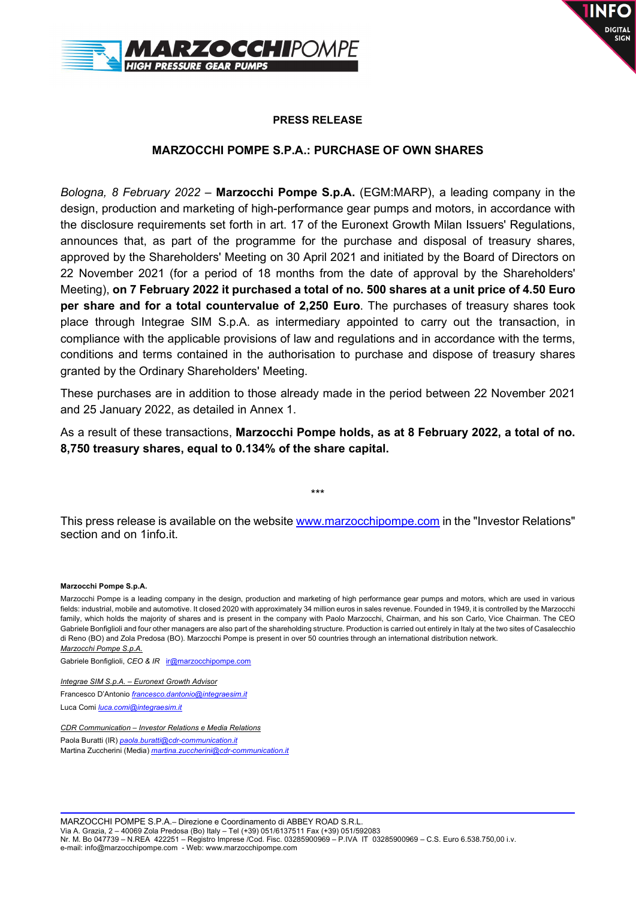



### PRESS RELEASE

### MARZOCCHI POMPE S.P.A.: PURCHASE OF OWN SHARES

Bologna, 8 February 2022 – Marzocchi Pompe S.p.A. (EGM:MARP), a leading company in the design, production and marketing of high-performance gear pumps and motors, in accordance with the disclosure requirements set forth in art. 17 of the Euronext Growth Milan Issuers' Regulations, announces that, as part of the programme for the purchase and disposal of treasury shares, approved by the Shareholders' Meeting on 30 April 2021 and initiated by the Board of Directors on 22 November 2021 (for a period of 18 months from the date of approval by the Shareholders' Meeting), on 7 February 2022 it purchased a total of no. 500 shares at a unit price of 4.50 Euro per share and for a total countervalue of 2,250 Euro. The purchases of treasury shares took place through Integrae SIM S.p.A. as intermediary appointed to carry out the transaction, in compliance with the applicable provisions of law and regulations and in accordance with the terms, conditions and terms contained in the authorisation to purchase and dispose of treasury shares granted by the Ordinary Shareholders' Meeting.

These purchases are in addition to those already made in the period between 22 November 2021 and 25 January 2022, as detailed in Annex 1.

As a result of these transactions, Marzocchi Pompe holds, as at 8 February 2022, a total of no. 8,750 treasury shares, equal to 0.134% of the share capital.

This press release is available on the website www.marzocchipompe.com in the "Investor Relations" section and on 1info.it.

\*\*\*

#### Marzocchi Pompe S.p.A.

Marzocchi Pompe is a leading company in the design, production and marketing of high performance gear pumps and motors, which are used in various fields: industrial, mobile and automotive. It closed 2020 with approximately 34 million euros in sales revenue. Founded in 1949, it is controlled by the Marzocchi family, which holds the majority of shares and is present in the company with Paolo Marzocchi, Chairman, and his son Carlo, Vice Chairman. The CEO Gabriele Bonfiglioli and four other managers are also part of the shareholding structure. Production is carried out entirely in Italy at the two sites of Casalecchio di Reno (BO) and Zola Predosa (BO). Marzocchi Pompe is present in over 50 countries through an international distribution network. Marzocchi Pompe S.p.A.

Gabriele Bonfiglioli, CEO & IR ir@marzocchipompe.com

Integrae SIM S.p.A. – Euronext Growth Advisor Francesco D'Antonio *francesco.dantonio@integraesim.it* Luca Comi luca.comi@integraesim.it

CDR Communication – Investor Relations e Media Relations

Paola Buratti (IR) paola.buratti@cdr-communication.it Martina Zuccherini (Media) *martina.zuccherini@cdr-communication.it*